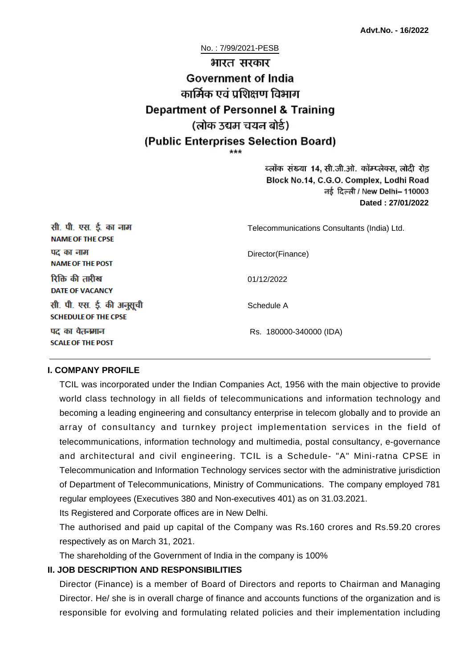No. : 7/99/2021-PESB

# भारत सरकार **Government of India** कार्मिक एवं पशिक्षण विभाग **Department of Personnel & Training** (लोक उद्यम चयन बोर्ड) (Public Enterprises Selection Board)

ब्लॉक संख्या 14, सी.जी.ओ. कॉम्प्लेक्स, लोदी रोड Block No.14, C.G.O. Complex, Lodhi Road ਰई दिल्ली / New Delhi– 110003 **Dated : 27/01/2022**

| सी. पी. एस. ई. का नाम<br><b>NAME OF THE CPSE</b>         | Telecommunications Consultants (India) Ltd. |
|----------------------------------------------------------|---------------------------------------------|
| पद का नाम<br><b>NAME OF THE POST</b>                     | Director(Finance)                           |
| रिक्ति की तारीख<br><b>DATE OF VACANCY</b>                | 01/12/2022                                  |
| सी. पी. एस. ई. की अनुसूची<br><b>SCHEDULE OF THE CPSE</b> | Schedule A                                  |
| पद का वेतनमान<br><b>SCALE OF THE POST</b>                | Rs. 180000-340000 (IDA)                     |

#### **I. COMPANY PROFILE**

TCIL was incorporated under the Indian Companies Act, 1956 with the main objective to provide world class technology in all fields of telecommunications and information technology and becoming a leading engineering and consultancy enterprise in telecom globally and to provide an array of consultancy and turnkey project implementation services in the field of telecommunications, information technology and multimedia, postal consultancy, e-governance and architectural and civil engineering. TCIL is a Schedule- "A" Mini-ratna CPSE in Telecommunication and Information Technology services sector with the administrative jurisdiction of Department of Telecommunications, Ministry of Communications. The company employed 781 regular employees (Executives 380 and Non-executives 401) as on 31.03.2021.

Its Registered and Corporate offices are in New Delhi.

The authorised and paid up capital of the Company was Rs.160 crores and Rs.59.20 crores respectively as on March 31, 2021.

The shareholding of the Government of India in the company is 100%

#### **II. JOB DESCRIPTION AND RESPONSIBILITIES**

Director (Finance) is a member of Board of Directors and reports to Chairman and Managing Director. He/ she is in overall charge of finance and accounts functions of the organization and is responsible for evolving and formulating related policies and their implementation including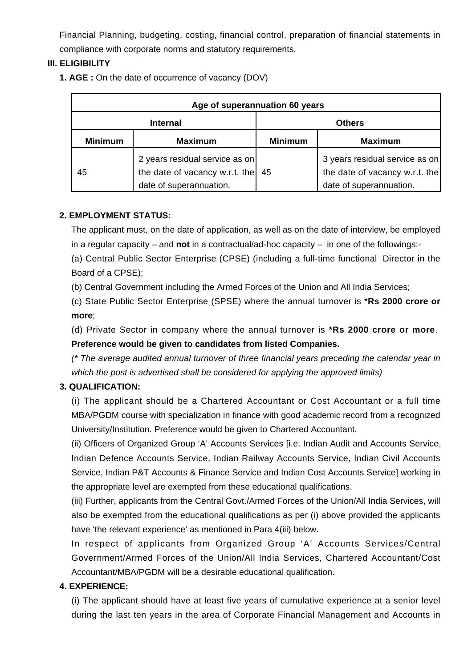Financial Planning, budgeting, costing, financial control, preparation of financial statements in compliance with corporate norms and statutory requirements.

## **III. ELIGIBILITY**

**1. AGE :** On the date of occurrence of vacancy (DOV)

| Age of superannuation 60 years |                                                                                             |                |                                                                                             |  |
|--------------------------------|---------------------------------------------------------------------------------------------|----------------|---------------------------------------------------------------------------------------------|--|
| <b>Internal</b>                |                                                                                             | <b>Others</b>  |                                                                                             |  |
| <b>Minimum</b>                 | <b>Maximum</b>                                                                              | <b>Minimum</b> | <b>Maximum</b>                                                                              |  |
| 45                             | 2 years residual service as on<br>the date of vacancy w.r.t. the<br>date of superannuation. | 45             | 3 years residual service as on<br>the date of vacancy w.r.t. the<br>date of superannuation. |  |

## **2. EMPLOYMENT STATUS:**

The applicant must, on the date of application, as well as on the date of interview, be employed in a regular capacity – and **not** in a contractual/ad-hoc capacity – in one of the followings:-

(a) Central Public Sector Enterprise (CPSE) (including a full-time functional Director in the Board of a CPSE);

(b) Central Government including the Armed Forces of the Union and All India Services;

(c) State Public Sector Enterprise (SPSE) where the annual turnover is \***Rs 2000 crore or more**;

(d) Private Sector in company where the annual turnover is **\*Rs 2000 crore or more**. **Preference would be given to candidates from listed Companies.**

(\* The average audited annual turnover of three financial years preceding the calendar year in which the post is advertised shall be considered for applying the approved limits)

## **3. QUALIFICATION:**

(i) The applicant should be a Chartered Accountant or Cost Accountant or a full time MBA/PGDM course with specialization in finance with good academic record from a recognized University/Institution. Preference would be given to Chartered Accountant.

(ii) Officers of Organized Group 'A' Accounts Services [i.e. Indian Audit and Accounts Service, Indian Defence Accounts Service, Indian Railway Accounts Service, Indian Civil Accounts Service, Indian P&T Accounts & Finance Service and Indian Cost Accounts Service] working in the appropriate level are exempted from these educational qualifications.

(iii) Further, applicants from the Central Govt./Armed Forces of the Union/All India Services, will also be exempted from the educational qualifications as per (i) above provided the applicants have 'the relevant experience' as mentioned in Para 4(iii) below.

In respect of applicants from Organized Group 'A' Accounts Services/Central Government/Armed Forces of the Union/All India Services, Chartered Accountant/Cost Accountant/MBA/PGDM will be a desirable educational qualification.

## **4. EXPERIENCE:**

(i) The applicant should have at least five years of cumulative experience at a senior level during the last ten years in the area of Corporate Financial Management and Accounts in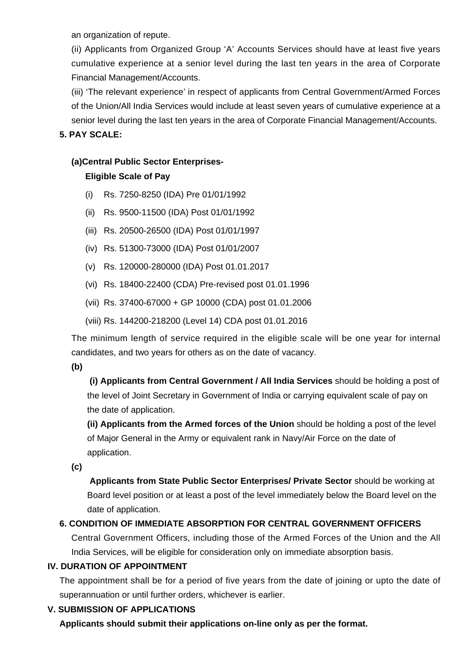an organization of repute.

(ii) Applicants from Organized Group 'A' Accounts Services should have at least five years cumulative experience at a senior level during the last ten years in the area of Corporate Financial Management/Accounts.

(iii) 'The relevant experience' in respect of applicants from Central Government/Armed Forces of the Union/All India Services would include at least seven years of cumulative experience at a senior level during the last ten years in the area of Corporate Financial Management/Accounts.

## **5. PAY SCALE:**

## **(a)Central Public Sector Enterprises-**

## **Eligible Scale of Pay**

- (i) Rs. 7250-8250 (IDA) Pre 01/01/1992
- (ii) Rs. 9500-11500 (IDA) Post 01/01/1992
- (iii) Rs. 20500-26500 (IDA) Post 01/01/1997
- (iv) Rs. 51300-73000 (IDA) Post 01/01/2007
- (v) Rs. 120000-280000 (IDA) Post 01.01.2017
- (vi) Rs. 18400-22400 (CDA) Pre-revised post 01.01.1996
- (vii) Rs. 37400-67000 + GP 10000 (CDA) post 01.01.2006
- (viii) Rs. 144200-218200 (Level 14) CDA post 01.01.2016

The minimum length of service required in the eligible scale will be one year for internal candidates, and two years for others as on the date of vacancy.

**(b)**

**(i) Applicants from Central Government / All India Services** should be holding a post of the level of Joint Secretary in Government of India or carrying equivalent scale of pay on the date of application.

**(ii) Applicants from the Armed forces of the Union** should be holding a post of the level of Major General in the Army or equivalent rank in Navy/Air Force on the date of application.

**(c)**

 **Applicants from State Public Sector Enterprises/ Private Sector** should be working at Board level position or at least a post of the level immediately below the Board level on the date of application.

# **6. CONDITION OF IMMEDIATE ABSORPTION FOR CENTRAL GOVERNMENT OFFICERS**

Central Government Officers, including those of the Armed Forces of the Union and the All India Services, will be eligible for consideration only on immediate absorption basis.

## **IV. DURATION OF APPOINTMENT**

The appointment shall be for a period of five years from the date of joining or upto the date of superannuation or until further orders, whichever is earlier.

## **V. SUBMISSION OF APPLICATIONS**

**Applicants should submit their applications on-line only as per the format.**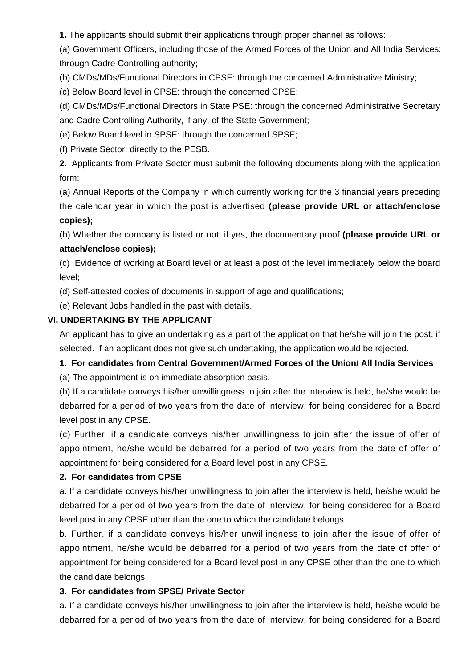**1.** The applicants should submit their applications through proper channel as follows:

(a) Government Officers, including those of the Armed Forces of the Union and All India Services: through Cadre Controlling authority;

(b) CMDs/MDs/Functional Directors in CPSE: through the concerned Administrative Ministry;

(c) Below Board level in CPSE: through the concerned CPSE;

(d) CMDs/MDs/Functional Directors in State PSE: through the concerned Administrative Secretary and Cadre Controlling Authority, if any, of the State Government;

(e) Below Board level in SPSE: through the concerned SPSE;

(f) Private Sector: directly to the PESB.

**2.** Applicants from Private Sector must submit the following documents along with the application form:

(a) Annual Reports of the Company in which currently working for the 3 financial years preceding the calendar year in which the post is advertised **(please provide URL or attach/enclose copies);**

(b) Whether the company is listed or not; if yes, the documentary proof **(please provide URL or attach/enclose copies);**

(c) Evidence of working at Board level or at least a post of the level immediately below the board level;

(d) Self-attested copies of documents in support of age and qualifications;

(e) Relevant Jobs handled in the past with details.

## **VI. UNDERTAKING BY THE APPLICANT**

An applicant has to give an undertaking as a part of the application that he/she will join the post, if selected. If an applicant does not give such undertaking, the application would be rejected.

## **1. For candidates from Central Government/Armed Forces of the Union/ All India Services**

(a) The appointment is on immediate absorption basis.

(b) If a candidate conveys his/her unwillingness to join after the interview is held, he/she would be debarred for a period of two years from the date of interview, for being considered for a Board level post in any CPSE.

(c) Further, if a candidate conveys his/her unwillingness to join after the issue of offer of appointment, he/she would be debarred for a period of two years from the date of offer of appointment for being considered for a Board level post in any CPSE.

## **2. For candidates from CPSE**

a. If a candidate conveys his/her unwillingness to join after the interview is held, he/she would be debarred for a period of two years from the date of interview, for being considered for a Board level post in any CPSE other than the one to which the candidate belongs.

b. Further, if a candidate conveys his/her unwillingness to join after the issue of offer of appointment, he/she would be debarred for a period of two years from the date of offer of appointment for being considered for a Board level post in any CPSE other than the one to which the candidate belongs.

## **3. For candidates from SPSE/ Private Sector**

a. If a candidate conveys his/her unwillingness to join after the interview is held, he/she would be debarred for a period of two years from the date of interview, for being considered for a Board